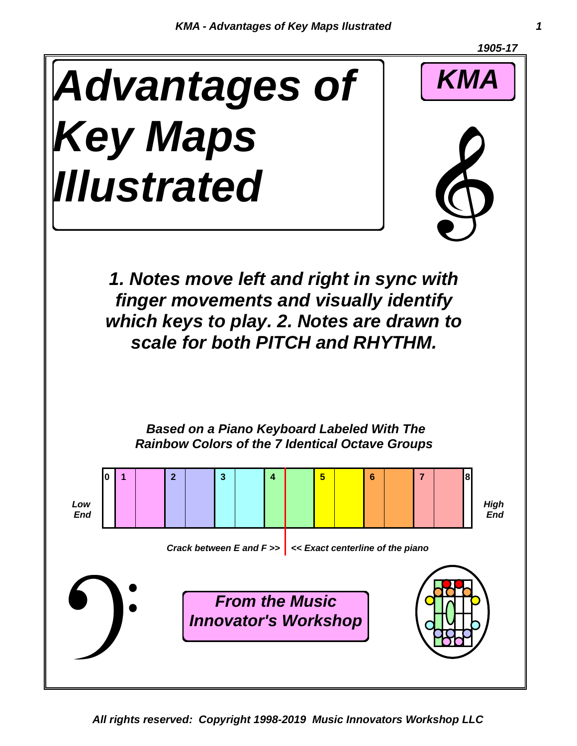

*All rights reserved: Copyright 1998-2019 Music Innovators Workshop LLC*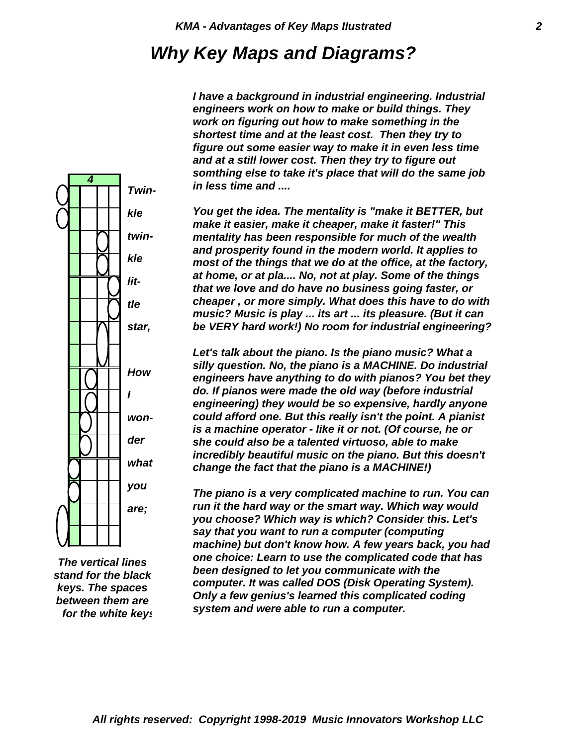## *Why Key Maps and Diagrams?*

*I have a background in industrial engineering. Industrial engineers work on how to make or build things. They work on figuring out how to make something in the shortest time and at the least cost. Then they try to figure out some easier way to make it in even less time and at a still lower cost. Then they try to figure out somthing else to take it's place that will do the same job in less time and ....*

*You get the idea. The mentality is "make it BETTER, but make it easier, make it cheaper, make it faster!" This mentality has been responsible for much of the wealth and prosperity found in the modern world. It applies to most of the things that we do at the office, at the factory, at home, or at pla.... No, not at play. Some of the things that we love and do have no business going faster, or cheaper , or more simply. What does this have to do with music? Music is play ... its art ... its pleasure. (But it can be VERY hard work!) No room for industrial engineering?*

*Let's talk about the piano. Is the piano music? What a silly question. No, the piano is a MACHINE. Do industrial engineers have anything to do with pianos? You bet they do. If pianos were made the old way (before industrial engineering) they would be so expensive, hardly anyone could afford one. But this really isn't the point. A pianist is a machine operator - like it or not. (Of course, he or she could also be a talented virtuoso, able to make incredibly beautiful music on the piano. But this doesn't change the fact that the piano is a MACHINE!)*

*The piano is a very complicated machine to run. You can run it the hard way or the smart way. Which way would you choose? Which way is which? Consider this. Let's say that you want to run a computer (computing machine) but don't know how. A few years back, you had one choice: Learn to use the complicated code that has been designed to let you communicate with the computer. It was called DOS (Disk Operating System). Only a few genius's learned this complicated coding system and were able to run a computer.*

*twinkle little star, How I wonder what you are;*

*4*

*Twin-*

*kle*

*for the white keys between them are keys. The spaces stand for the black The vertical lines*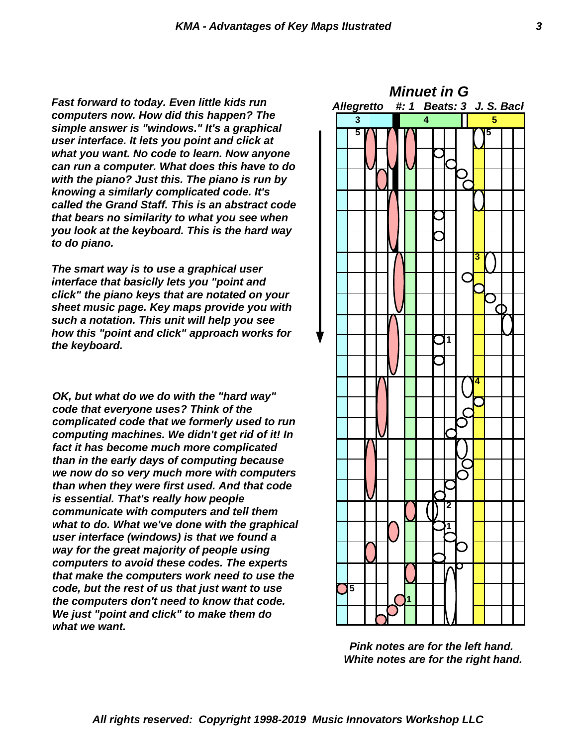*Fast forward to today. Even little kids run computers now. How did this happen? The simple answer is "windows." It's a graphical user interface. It lets you point and click at what you want. No code to learn. Now anyone can run a computer. What does this have to do with the piano? Just this. The piano is run by knowing a similarly complicated code. It's called the Grand Staff. This is an abstract code that bears no similarity to what you see when you look at the keyboard. This is the hard way to do piano.*

*The smart way is to use a graphical user interface that basiclly lets you "point and click" the piano keys that are notated on your sheet music page. Key maps provide you with such a notation. This unit will help you see how this "point and click" approach works for the keyboard.*

*OK, but what do we do with the "hard way" code that everyone uses? Think of the complicated code that we formerly used to run computing machines. We didn't get rid of it! In fact it has become much more complicated than in the early days of computing because we now do so very much more with computers than when they were first used. And that code is essential. That's really how people communicate with computers and tell them what to do. What we've done with the graphical user interface (windows) is that we found a way for the great majority of people using computers to avoid these codes. The experts that make the computers work need to use the code, but the rest of us that just want to use the computers don't need to know that code. We just "point and click" to make them do what we want.*



*Pink notes are for the left hand. White notes are for the right hand.*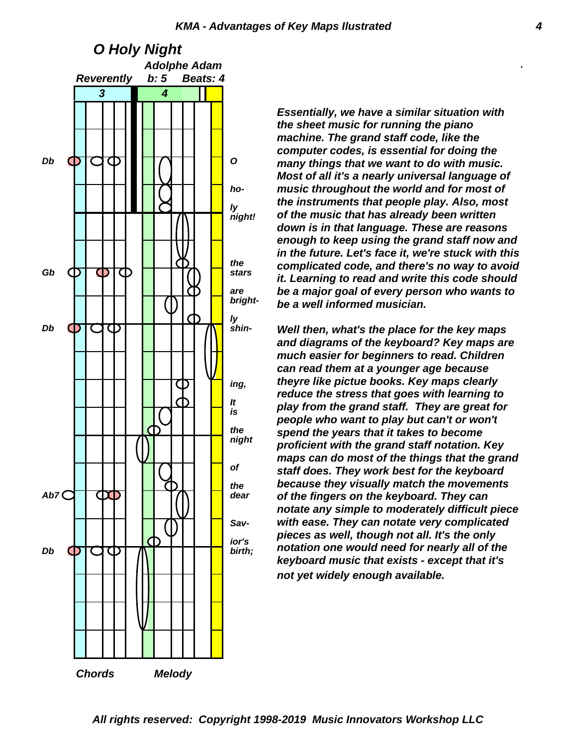

*Essentially, we have a similar situation with the sheet music for running the piano machine. The grand staff code, like the computer codes, is essential for doing the many things that we want to do with music. Most of all it's a nearly universal language of music throughout the world and for most of the instruments that people play. Also, most of the music that has already been written down is in that language. These are reasons enough to keep using the grand staff now and in the future. Let's face it, we're stuck with this complicated code, and there's no way to avoid it. Learning to read and write this code should be a major goal of every person who wants to be a well informed musician.*

*Well then, what's the place for the key maps and diagrams of the keyboard? Key maps are much easier for beginners to read. Children can read them at a younger age because theyre like pictue books. Key maps clearly reduce the stress that goes with learning to play from the grand staff. They are great for people who want to play but can't or won't spend the years that it takes to become proficient with the grand staff notation. Key maps can do most of the things that the grand staff does. They work best for the keyboard because they visually match the movements of the fingers on the keyboard. They can notate any simple to moderately difficult piece with ease. They can notate very complicated pieces as well, though not all. It's the only notation one would need for nearly all of the keyboard music that exists - except that it's not yet widely enough available.*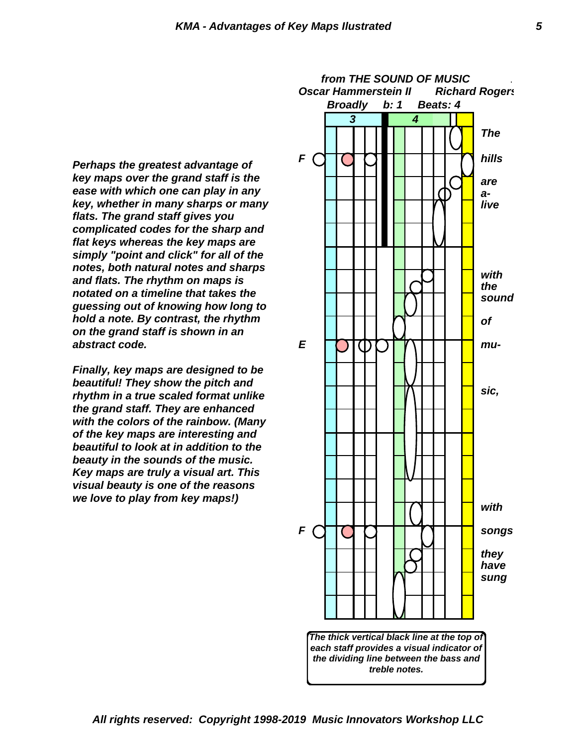*Perhaps the greatest advantage of key maps over the grand staff is the ease with which one can play in any key, whether in many sharps or many flats. The grand staff gives you complicated codes for the sharp and flat keys whereas the key maps are simply "point and click" for all of the notes, both natural notes and sharps and flats. The rhythm on maps is notated on a timeline that takes the guessing out of knowing how long to hold a note. By contrast, the rhythm on the grand staff is shown in an abstract code.*

*Finally, key maps are designed to be beautiful! They show the pitch and rhythm in a true scaled format unlike the grand staff. They are enhanced with the colors of the rainbow. (Many of the key maps are interesting and beautiful to look at in addition to the beauty in the sounds of the music. Key maps are truly a visual art. This visual beauty is one of the reasons we love to play from key maps!)*

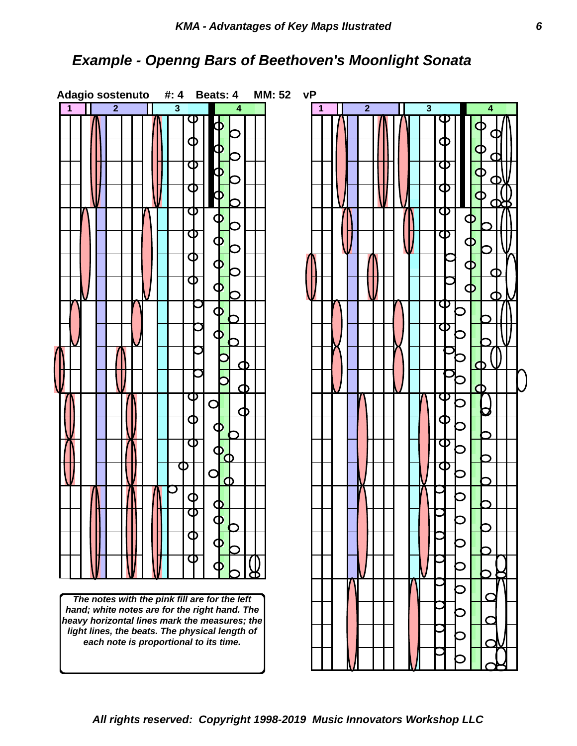### *Example - Openng Bars of Beethoven's Moonlight Sonata*

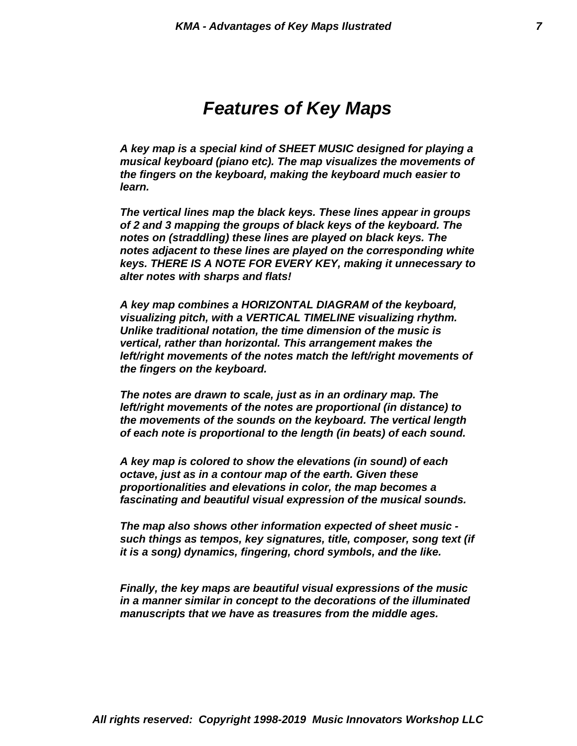# *Features of Key Maps*

*learn. the fingers on the keyboard, making the keyboard much easier to musical keyboard (piano etc). The map visualizes the movements of A key map is a special kind of SHEET MUSIC designed for playing a*

*alter notes with sharps and flats! keys. THERE IS A NOTE FOR EVERY KEY, making it unnecessary to notes adjacent to these lines are played on the corresponding white notes on (straddling) these lines are played on black keys. The of 2 and 3 mapping the groups of black keys of the keyboard. The The vertical lines map the black keys. These lines appear in groups*

*the fingers on the keyboard. left/right movements of the notes match the left/right movements of vertical, rather than horizontal. This arrangement makes the Unlike traditional notation, the time dimension of the music is visualizing pitch, with a VERTICAL TIMELINE visualizing rhythm. A key map combines a HORIZONTAL DIAGRAM of the keyboard,*

*of each note is proportional to the length (in beats) of each sound. the movements of the sounds on the keyboard. The vertical length left/right movements of the notes are proportional (in distance) to The notes are drawn to scale, just as in an ordinary map. The*

*fascinating and beautiful visual expression of the musical sounds. proportionalities and elevations in color, the map becomes a octave, just as in a contour map of the earth. Given these A key map is colored to show the elevations (in sound) of each*

*it is a song) dynamics, fingering, chord symbols, and the like. such things as tempos, key signatures, title, composer, song text (if The map also shows other information expected of sheet music -*

*manuscripts that we have as treasures from the middle ages. in a manner similar in concept to the decorations of the illuminated Finally, the key maps are beautiful visual expressions of the music*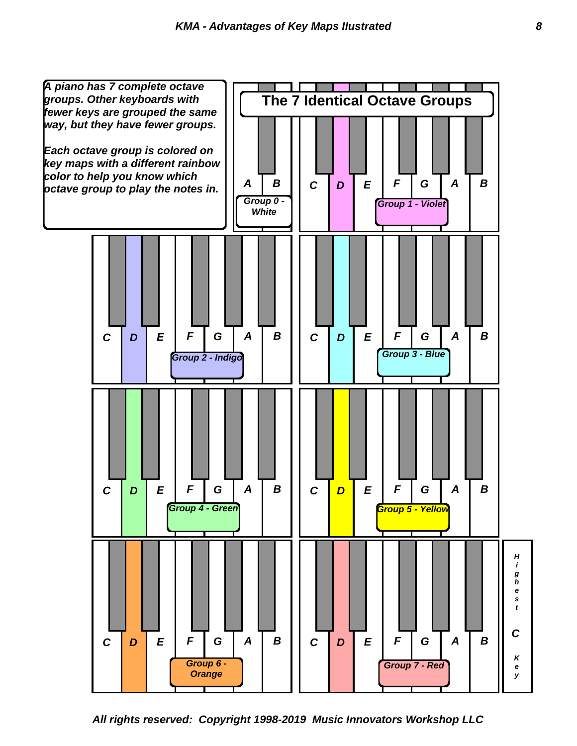

*All rights reserved: Copyright 1998-2019 Music Innovators Workshop LLC*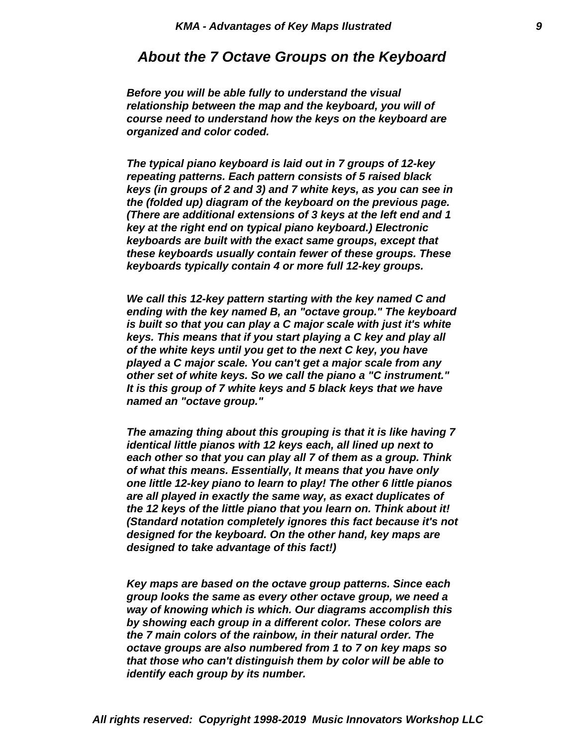#### *About the 7 Octave Groups on the Keyboard*

*organized and color coded. course need to understand how the keys on the keyboard are relationship between the map and the keyboard, you will of Before you will be able fully to understand the visual*

*keyboards typically contain 4 or more full 12-key groups. these keyboards usually contain fewer of these groups. These keyboards are built with the exact same groups, except that key at the right end on typical piano keyboard.) Electronic (There are additional extensions of 3 keys at the left end and 1 the (folded up) diagram of the keyboard on the previous page. keys (in groups of 2 and 3) and 7 white keys, as you can see in repeating patterns. Each pattern consists of 5 raised black The typical piano keyboard is laid out in 7 groups of 12-key*

*named an "octave group." It is this group of 7 white keys and 5 black keys that we have other set of white keys. So we call the piano a "C instrument." played a C major scale. You can't get a major scale from any of the white keys until you get to the next C key, you have keys. This means that if you start playing a C key and play all is built so that you can play a C major scale with just it's white ending with the key named B, an "octave group." The keyboard We call this 12-key pattern starting with the key named C and*

*designed to take advantage of this fact!) designed for the keyboard. On the other hand, key maps are (Standard notation completely ignores this fact because it's not the 12 keys of the little piano that you learn on. Think about it! are all played in exactly the same way, as exact duplicates of one little 12-key piano to learn to play! The other 6 little pianos of what this means. Essentially, It means that you have only each other so that you can play all 7 of them as a group. Think identical little pianos with 12 keys each, all lined up next to The amazing thing about this grouping is that it is like having 7*

*identify each group by its number. that those who can't distinguish them by color will be able to octave groups are also numbered from 1 to 7 on key maps so the 7 main colors of the rainbow, in their natural order. The by showing each group in a different color. These colors are way of knowing which is which. Our diagrams accomplish this group looks the same as every other octave group, we need a Key maps are based on the octave group patterns. Since each*